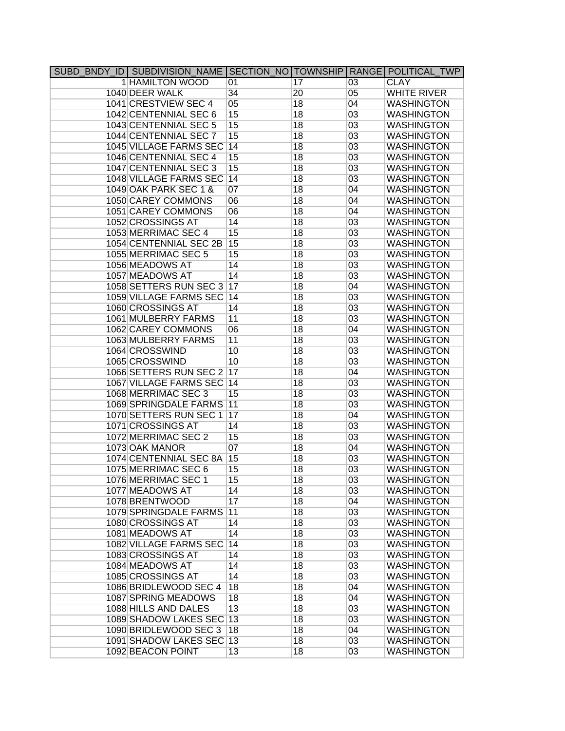|  | SUBD BNDY ID SUBDIVISION NAME SECTION NOTOWNSHIP RANGE POLITICAL TWP |                                   |                 |                 |                    |
|--|----------------------------------------------------------------------|-----------------------------------|-----------------|-----------------|--------------------|
|  | 1 HAMILTON WOOD                                                      | 01                                | $\overline{17}$ | 03              | <b>CLAY</b>        |
|  | 1040 DEER WALK                                                       | $\overline{34}$                   | $\overline{20}$ | 05              | <b>WHITE RIVER</b> |
|  | 1041 CRESTVIEW SEC 4                                                 | 05                                | 18              | 04              | <b>WASHINGTON</b>  |
|  | 1042 CENTENNIAL SEC 6                                                | 15                                | 18              | 03              | <b>WASHINGTON</b>  |
|  | 1043 CENTENNIAL SEC 5                                                | 15                                | 18              | 03              | <b>WASHINGTON</b>  |
|  | 1044 CENTENNIAL SEC 7                                                | $\overline{15}$                   | 18              | 03              | <b>WASHINGTON</b>  |
|  | 1045 VILLAGE FARMS SEC                                               | 14                                | 18              | 03              | <b>WASHINGTON</b>  |
|  | 1046 CENTENNIAL SEC 4                                                | 15                                | 18              | 03              | <b>WASHINGTON</b>  |
|  | 1047 CENTENNIAL SEC 3                                                | 15                                | 18              | 03              | <b>WASHINGTON</b>  |
|  | 1048 VILLAGE FARMS SEC                                               | 14                                | 18              | 03              | <b>WASHINGTON</b>  |
|  | 1049 OAK PARK SEC 1 &                                                | 07                                | 18              | 04              | <b>WASHINGTON</b>  |
|  | 1050 CAREY COMMONS                                                   | 06                                | 18              | 04              | <b>WASHINGTON</b>  |
|  | 1051 CAREY COMMONS                                                   | 06                                | 18              | 04              | <b>WASHINGTON</b>  |
|  | 1052 CROSSINGS AT                                                    | 14                                | 18              | 03              | <b>WASHINGTON</b>  |
|  | 1053 MERRIMAC SEC 4                                                  | 15                                | 18              | 03              | <b>WASHINGTON</b>  |
|  | 1054 CENTENNIAL SEC 2B                                               | 15                                | 18              | 03              | <b>WASHINGTON</b>  |
|  | 1055 MERRIMAC SEC 5                                                  | 15                                | 18              | 03              | <b>WASHINGTON</b>  |
|  | 1056 MEADOWS AT                                                      | 14                                | 18              | 03              | <b>WASHINGTON</b>  |
|  | 1057 MEADOWS AT                                                      | 14                                | 18              | 03              | <b>WASHINGTON</b>  |
|  | 1058 SETTERS RUN SEC 3                                               | 17                                | 18              | 04              | <b>WASHINGTON</b>  |
|  | 1059 VILLAGE FARMS SEC                                               | 14                                | 18              | 03              | <b>WASHINGTON</b>  |
|  | 1060 CROSSINGS AT                                                    | 14                                | 18              | 03              | <b>WASHINGTON</b>  |
|  | 1061 MULBERRY FARMS                                                  | 11                                | 18              | 03              | <b>WASHINGTON</b>  |
|  | 1062 CAREY COMMONS                                                   | 06                                | 18              | 04              | <b>WASHINGTON</b>  |
|  | 1063 MULBERRY FARMS                                                  | 11                                | 18              | 03              | <b>WASHINGTON</b>  |
|  | 1064 CROSSWIND                                                       | 10                                | 18              | 03              | <b>WASHINGTON</b>  |
|  | 1065 CROSSWIND                                                       | 10                                | 18              | 03              | <b>WASHINGTON</b>  |
|  | 1066 SETTERS RUN SEC 2 17                                            |                                   | 18              | 04              | <b>WASHINGTON</b>  |
|  | <b>1067 VILLAGE FARMS SEC</b>                                        | 14                                | 18              | 03              | <b>WASHINGTON</b>  |
|  | 1068 MERRIMAC SEC 3                                                  | 15                                | 18              | 03              | <b>WASHINGTON</b>  |
|  | 1069 SPRINGDALE FARMS                                                | 11                                | 18              | $\overline{03}$ | <b>WASHINGTON</b>  |
|  | 1070 SETTERS RUN SEC 1                                               | 17                                | 18              | 04              | <b>WASHINGTON</b>  |
|  | 1071 CROSSINGS AT                                                    | 14                                | 18              | 03              | <b>WASHINGTON</b>  |
|  | 1072 MERRIMAC SEC 2                                                  | 15                                | 18              | 03              | <b>WASHINGTON</b>  |
|  | 1073 OAK MANOR                                                       | 07                                | 18              | 04              | <b>WASHINGTON</b>  |
|  | 1074 CENTENNIAL SEC 8A                                               | 15                                | 18              | 03              | <b>WASHINGTON</b>  |
|  | 1075 MERRIMAC SEC 6                                                  | 15                                | 18              | 03              | <b>WASHINGTON</b>  |
|  | 1076 MERRIMAC SEC 1                                                  | 15                                | 18              | 03              | <b>WASHINGTON</b>  |
|  | 1077 MEADOWS AT                                                      | 14                                | 18              | 03              | <b>WASHINGTON</b>  |
|  | 1078 BRENTWOOD                                                       | 17                                | 18              | 04              | <b>WASHINGTON</b>  |
|  | 1079 SPRINGDALE FARMS                                                | $\begin{array}{c} 11 \end{array}$ | 18              | 03              | <b>WASHINGTON</b>  |
|  | 1080 CROSSINGS AT                                                    | 14                                | 18              | 03              | <b>WASHINGTON</b>  |
|  | 1081 MEADOWS AT                                                      | 14                                | 18              | 03              | <b>WASHINGTON</b>  |
|  | 1082 VILLAGE FARMS SEC                                               | 14                                | 18              | 03              | <b>WASHINGTON</b>  |
|  | 1083 CROSSINGS AT                                                    | 14                                | 18              | 03              | <b>WASHINGTON</b>  |
|  | 1084 MEADOWS AT                                                      | 14                                | 18              | 03              | <b>WASHINGTON</b>  |
|  | 1085 CROSSINGS AT                                                    | 14                                | 18              | 03              | <b>WASHINGTON</b>  |
|  | 1086 BRIDLEWOOD SEC 4                                                | 18                                | 18              | 04              | <b>WASHINGTON</b>  |
|  | 1087 SPRING MEADOWS                                                  | 18                                | 18              | 04              | <b>WASHINGTON</b>  |
|  | 1088 HILLS AND DALES                                                 | 13                                | 18              | 03              | <b>WASHINGTON</b>  |
|  | 1089 SHADOW LAKES SEC 13                                             |                                   | 18              | 03              | <b>WASHINGTON</b>  |
|  | 1090 BRIDLEWOOD SEC 3                                                | 18                                | 18              | 04              | <b>WASHINGTON</b>  |
|  | 1091 SHADOW LAKES SEC 13                                             |                                   | 18              | 03              | <b>WASHINGTON</b>  |
|  | 1092 BEACON POINT                                                    | 13                                | 18              | 03              | <b>WASHINGTON</b>  |
|  |                                                                      |                                   |                 |                 |                    |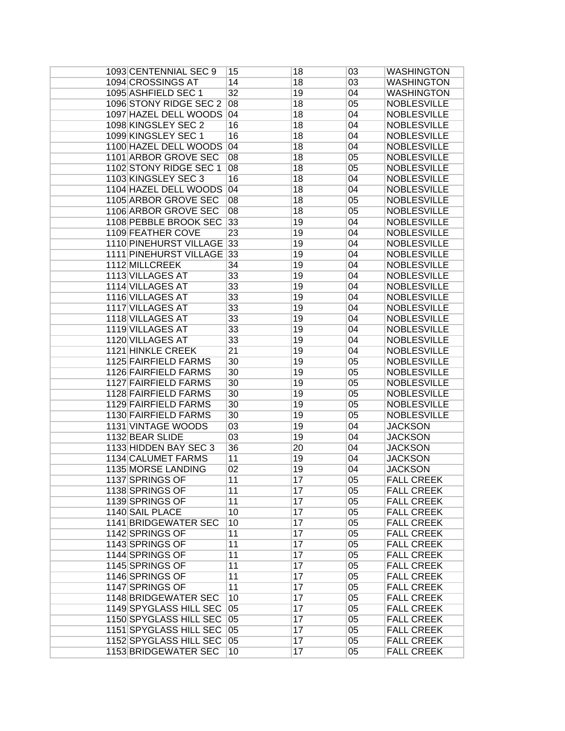| 1093 CENTENNIAL SEC 9         | 15              | 18 | 03 | <b>WASHINGTON</b>  |
|-------------------------------|-----------------|----|----|--------------------|
| 1094 CROSSINGS AT             | 14              | 18 | 03 | <b>WASHINGTON</b>  |
| 1095 ASHFIELD SEC 1           | $\overline{32}$ | 19 | 04 | <b>WASHINGTON</b>  |
| 1096 STONY RIDGE SEC 2        | 08              | 18 | 05 | <b>NOBLESVILLE</b> |
| 1097 HAZEL DELL WOODS         | 04              | 18 | 04 | <b>NOBLESVILLE</b> |
| 1098 KINGSLEY SEC 2           | 16              | 18 | 04 | <b>NOBLESVILLE</b> |
| 1099 KINGSLEY SEC 1           | 16              | 18 | 04 | <b>NOBLESVILLE</b> |
| 1100 HAZEL DELL WOODS         | 04              | 18 | 04 | <b>NOBLESVILLE</b> |
| 1101 ARBOR GROVE SEC          | 08              | 18 | 05 | <b>NOBLESVILLE</b> |
| 1102 STONY RIDGE SEC 1        | 08              | 18 | 05 | <b>NOBLESVILLE</b> |
| 1103 KINGSLEY SEC 3           | 16              | 18 | 04 | <b>NOBLESVILLE</b> |
| 1104 HAZEL DELL WOODS         | 04              | 18 | 04 | <b>NOBLESVILLE</b> |
| 1105 ARBOR GROVE SEC          | 08              | 18 | 05 | <b>NOBLESVILLE</b> |
| 1106 ARBOR GROVE SEC          | 08              | 18 | 05 | <b>NOBLESVILLE</b> |
| 1108 PEBBLE BROOK SEC         | 33              | 19 | 04 | <b>NOBLESVILLE</b> |
| 1109 FEATHER COVE             | 23              | 19 | 04 | <b>NOBLESVILLE</b> |
| <b>1110 PINEHURST VILLAGE</b> | $\overline{33}$ | 19 | 04 | <b>NOBLESVILLE</b> |
| 1111 PINEHURST VILLAGE 33     |                 | 19 | 04 | <b>NOBLESVILLE</b> |
| 1112 MILLCREEK                | 34              | 19 | 04 | <b>NOBLESVILLE</b> |
| 1113 VILLAGES AT              | 33              | 19 | 04 | <b>NOBLESVILLE</b> |
| 1114 VILLAGES AT              | 33              | 19 | 04 | <b>NOBLESVILLE</b> |
| 1116 VILLAGES AT              |                 |    |    |                    |
|                               | 33              | 19 | 04 | <b>NOBLESVILLE</b> |
| 1117 VILLAGES AT              | 33              | 19 | 04 | <b>NOBLESVILLE</b> |
| 1118 VILLAGES AT              | 33              | 19 | 04 | <b>NOBLESVILLE</b> |
| 1119 VILLAGES AT              | 33              | 19 | 04 | <b>NOBLESVILLE</b> |
| 1120 VILLAGES AT              | 33              | 19 | 04 | <b>NOBLESVILLE</b> |
| 1121 HINKLE CREEK             | $\overline{21}$ | 19 | 04 | <b>NOBLESVILLE</b> |
| 1125 FAIRFIELD FARMS          | 30              | 19 | 05 | <b>NOBLESVILLE</b> |
| 1126 FAIRFIELD FARMS          | 30              | 19 | 05 | <b>NOBLESVILLE</b> |
| 1127 FAIRFIELD FARMS          | 30              | 19 | 05 | <b>NOBLESVILLE</b> |
| 1128 FAIRFIELD FARMS          | 30              | 19 | 05 | <b>NOBLESVILLE</b> |
| <b>1129 FAIRFIELD FARMS</b>   | $\overline{30}$ | 19 | 05 | <b>NOBLESVILLE</b> |
| 1130 FAIRFIELD FARMS          | $\overline{30}$ | 19 | 05 | <b>NOBLESVILLE</b> |
| 1131 VINTAGE WOODS            | 03              | 19 | 04 | <b>JACKSON</b>     |
| 1132 BEAR SLIDE               | 03              | 19 | 04 | <b>JACKSON</b>     |
| 1133 HIDDEN BAY SEC 3         | 36              | 20 | 04 | <b>JACKSON</b>     |
| 1134 CALUMET FARMS            | 11              | 19 | 04 | <b>JACKSON</b>     |
| 1135 MORSE LANDING            | $\overline{02}$ | 19 | 04 | <b>JACKSON</b>     |
| 1137 SPRINGS OF               | 11              | 17 | 05 | <b>FALL CREEK</b>  |
| 1138 SPRINGS OF               | 11              | 17 | 05 | <b>FALL CREEK</b>  |
| 1139 SPRINGS OF               | 11              | 17 | 05 | <b>FALL CREEK</b>  |
| 1140 SAIL PLACE               | 10              | 17 | 05 | <b>FALL CREEK</b>  |
| 1141 BRIDGEWATER SEC          | 10              | 17 | 05 | <b>FALL CREEK</b>  |
| 1142 SPRINGS OF               | 11              | 17 | 05 | <b>FALL CREEK</b>  |
| 1143 SPRINGS OF               | 11              | 17 | 05 | <b>FALL CREEK</b>  |
| 1144 SPRINGS OF               | 11              | 17 | 05 | <b>FALL CREEK</b>  |
| 1145 SPRINGS OF               | 11              | 17 | 05 | <b>FALL CREEK</b>  |
| 1146 SPRINGS OF               | 11              | 17 | 05 | <b>FALL CREEK</b>  |
| 1147 SPRINGS OF               | 11              | 17 | 05 | <b>FALL CREEK</b>  |
| 1148 BRIDGEWATER SEC          | 10              | 17 | 05 | <b>FALL CREEK</b>  |
| 1149 SPYGLASS HILL SEC        | 05              | 17 | 05 | <b>FALL CREEK</b>  |
| 1150 SPYGLASS HILL SEC        | 05              | 17 | 05 | <b>FALL CREEK</b>  |
| 1151 SPYGLASS HILL SEC        | 05              | 17 | 05 | <b>FALL CREEK</b>  |
| 1152 SPYGLASS HILL SEC        | 05              | 17 | 05 | <b>FALL CREEK</b>  |
| 1153 BRIDGEWATER SEC          | 10              | 17 | 05 | <b>FALL CREEK</b>  |
|                               |                 |    |    |                    |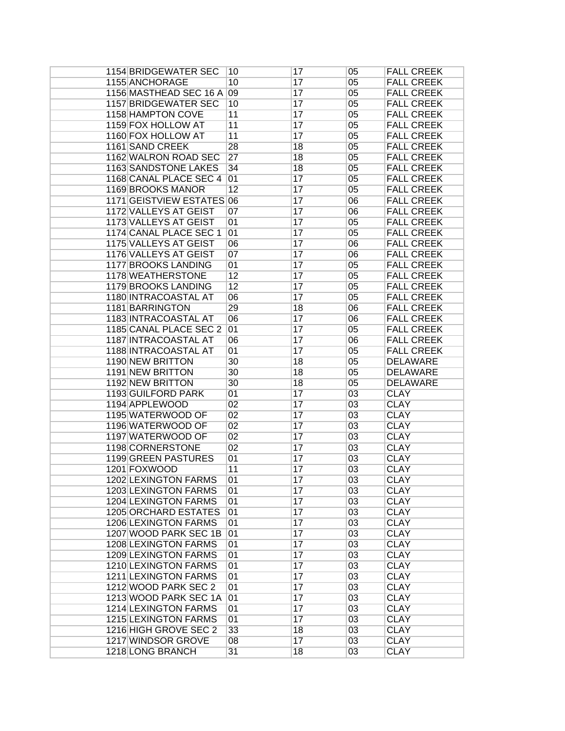| 1154 BRIDGEWATER SEC        | 10              | 17              | 05              | <b>FALL CREEK</b> |
|-----------------------------|-----------------|-----------------|-----------------|-------------------|
| 1155 ANCHORAGE              | 10              | 17              | 05              | <b>FALL CREEK</b> |
| 1156 MASTHEAD SEC 16 A 09   |                 | 17              | 05              | <b>FALL CREEK</b> |
| <b>1157 BRIDGEWATER SEC</b> | 10              | $\overline{17}$ | 05              | <b>FALL CREEK</b> |
| 1158 HAMPTON COVE           | 11              | 17              | 05              | <b>FALL CREEK</b> |
| 1159 FOX HOLLOW AT          | 11              | 17              | 05              | <b>FALL CREEK</b> |
| 1160 FOX HOLLOW AT          | 11              | 17              | 05              | <b>FALL CREEK</b> |
| 1161 SAND CREEK             | 28              | 18              | 05              | <b>FALL CREEK</b> |
| 1162 WALRON ROAD SEC        | $\overline{27}$ | 18              | 05              | <b>FALL CREEK</b> |
| 1163 SANDSTONE LAKES        | 34              | 18              | 05              | <b>FALL CREEK</b> |
| 1168 CANAL PLACE SEC 4      | 01              | 17              | 05              | <b>FALL CREEK</b> |
| 1169 BROOKS MANOR           | 12              | 17              | 05              | <b>FALL CREEK</b> |
| 1171 GEISTVIEW ESTATES 06   |                 | 17              |                 | <b>FALL CREEK</b> |
|                             |                 |                 | 06              |                   |
| 1172 VALLEYS AT GEIST       | 07              | 17              | 06              | <b>FALL CREEK</b> |
| 1173 VALLEYS AT GEIST       | 01              | 17              | 05              | <b>FALL CREEK</b> |
| 1174 CANAL PLACE SEC 1      | 01              | 17              | 05              | <b>FALL CREEK</b> |
| 1175 VALLEYS AT GEIST       | 06              | 17              | 06              | <b>FALL CREEK</b> |
| 1176 VALLEYS AT GEIST       | 07              | 17              | 06              | <b>FALL CREEK</b> |
| 1177 BROOKS LANDING         | 01              | 17              | 05              | <b>FALL CREEK</b> |
| 1178 WEATHERSTONE           | 12              | 17              | 05              | <b>FALL CREEK</b> |
| 1179 BROOKS LANDING         | $\overline{12}$ | 17              | 05              | <b>FALL CREEK</b> |
| 1180 INTRACOASTAL AT        | 06              | 17              | 05              | <b>FALL CREEK</b> |
| 1181 BARRINGTON             | 29              | 18              | 06              | <b>FALL CREEK</b> |
| 1183 INTRACOASTAL AT        | 06              | 17              | 06              | <b>FALL CREEK</b> |
| 1185 CANAL PLACE SEC 2      | 01              | 17              | 05              | <b>FALL CREEK</b> |
| 1187 INTRACOASTAL AT        | 06              | 17              | 06              | <b>FALL CREEK</b> |
| 1188 INTRACOASTAL AT        | 01              | 17              | 05              | <b>FALL CREEK</b> |
| 1190 NEW BRITTON            | 30              | 18              | 05              | <b>DELAWARE</b>   |
| 1191 NEW BRITTON            | 30              | 18              | 05              | <b>DELAWARE</b>   |
| 1192 NEW BRITTON            | 30              | 18              | 05              | <b>DELAWARE</b>   |
| 1193 GUILFORD PARK          | 01              | 17              | 03              | <b>CLAY</b>       |
| 1194 APPLEWOOD              | 02              | 17              | 03              | <b>CLAY</b>       |
| 1195 WATERWOOD OF           | 02              | 17              | $\overline{03}$ | <b>CLAY</b>       |
| 1196 WATERWOOD OF           | 02              | 17              | 03              | <b>CLAY</b>       |
| 1197 WATERWOOD OF           | 02              | 17              | 03              | <b>CLAY</b>       |
| 1198 CORNERSTONE            | 02              | 17              | 03              | <b>CLAY</b>       |
| <b>1199 GREEN PASTURES</b>  | 01              | 17              | 03              | <b>CLAY</b>       |
| 1201 FOXWOOD                | 11              | 17              | 03              | <b>CLAY</b>       |
| 1202 LEXINGTON FARMS        | 01              | 17              | 03              | <b>CLAY</b>       |
| 1203 LEXINGTON FARMS        | 01              | 17              | 03              | <b>CLAY</b>       |
| 1204 LEXINGTON FARMS        | 01              | 17              | 03              | <b>CLAY</b>       |
| <b>1205 ORCHARD ESTATES</b> | 01              | 17              | 03              | <b>CLAY</b>       |
| 1206 LEXINGTON FARMS        | 01              | 17              | 03              | <b>CLAY</b>       |
| 1207 WOOD PARK SEC 1B       | 01              | 17              | 03              | <b>CLAY</b>       |
| <b>1208 LEXINGTON FARMS</b> | 01              | 17              | 03              | <b>CLAY</b>       |
| <b>1209 LEXINGTON FARMS</b> | 01              | 17              | 03              | <b>CLAY</b>       |
| <b>1210 LEXINGTON FARMS</b> | 01              | 17              | 03              | <b>CLAY</b>       |
| 1211 LEXINGTON FARMS        | 01              | 17              | 03              | <b>CLAY</b>       |
| 1212 WOOD PARK SEC 2        | 01              | 17              | 03              | <b>CLAY</b>       |
| 1213 WOOD PARK SEC 1A       | 01              | $\overline{17}$ | $\overline{03}$ | <b>CLAY</b>       |
| <b>1214 LEXINGTON FARMS</b> | 01              | 17              | 03              | <b>CLAY</b>       |
| <b>1215 LEXINGTON FARMS</b> | 01              | 17              | 03              | <b>CLAY</b>       |
| 1216 HIGH GROVE SEC 2       | 33              | 18              | 03              | <b>CLAY</b>       |
| 1217 WINDSOR GROVE          | $\overline{08}$ | 17              | 03              | <b>CLAY</b>       |
| 1218 LONG BRANCH            | 31              | 18              | 03              | <b>CLAY</b>       |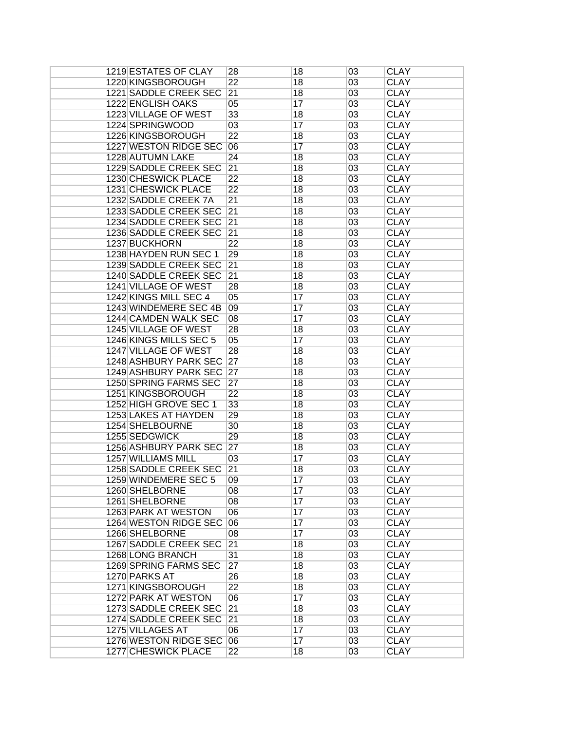| 1219 ESTATES OF CLAY         | 28              | 18 | 03 | <b>CLAY</b> |
|------------------------------|-----------------|----|----|-------------|
| 1220 KINGSBOROUGH            | 22              | 18 | 03 | <b>CLAY</b> |
| <b>1221 SADDLE CREEK SEC</b> | 21              | 18 | 03 | <b>CLAY</b> |
| 1222 ENGLISH OAKS            | 05              | 17 | 03 | <b>CLAY</b> |
| 1223 VILLAGE OF WEST         | 33              | 18 | 03 | <b>CLAY</b> |
| 1224 SPRINGWOOD              | 03              | 17 | 03 | <b>CLAY</b> |
| 1226 KINGSBOROUGH            | $\overline{22}$ | 18 | 03 | <b>CLAY</b> |
| 1227 WESTON RIDGE SEC        | 06              | 17 | 03 | <b>CLAY</b> |
| 1228 AUTUMN LAKE             | $\overline{24}$ | 18 | 03 | <b>CLAY</b> |
| 1229 SADDLE CREEK SEC        | 21              | 18 | 03 | <b>CLAY</b> |
| 1230 CHESWICK PLACE          | $\overline{22}$ | 18 | 03 | <b>CLAY</b> |
| 1231 CHESWICK PLACE          | 22              | 18 | 03 | <b>CLAY</b> |
| 1232 SADDLE CREEK 7A         | 21              | 18 | 03 | <b>CLAY</b> |
| 1233 SADDLE CREEK SEC        | 21              |    | 03 | <b>CLAY</b> |
|                              |                 | 18 |    |             |
| 1234 SADDLE CREEK SEC        | 21              | 18 | 03 | <b>CLAY</b> |
| 1236 SADDLE CREEK SEC        | 21              | 18 | 03 | <b>CLAY</b> |
| 1237 BUCKHORN                | $\overline{22}$ | 18 | 03 | <b>CLAY</b> |
| 1238 HAYDEN RUN SEC 1        | 29              | 18 | 03 | <b>CLAY</b> |
| 1239 SADDLE CREEK SEC        | 21              | 18 | 03 | <b>CLAY</b> |
| 1240 SADDLE CREEK SEC        | 21              | 18 | 03 | <b>CLAY</b> |
| 1241 VILLAGE OF WEST         | 28              | 18 | 03 | <b>CLAY</b> |
| 1242 KINGS MILL SEC 4        | 05              | 17 | 03 | <b>CLAY</b> |
| 1243 WINDEMERE SEC 4B        | 09              | 17 | 03 | <b>CLAY</b> |
| 1244 CAMDEN WALK SEC         | $\overline{08}$ | 17 | 03 | <b>CLAY</b> |
| 1245 VILLAGE OF WEST         | 28              | 18 | 03 | <b>CLAY</b> |
| 1246 KINGS MILLS SEC 5       | 05              | 17 | 03 | <b>CLAY</b> |
| 1247 VILLAGE OF WEST         | 28              | 18 | 03 | <b>CLAY</b> |
| 1248 ASHBURY PARK SEC        | 27              | 18 | 03 | <b>CLAY</b> |
| 1249 ASHBURY PARK SEC        | 27              | 18 | 03 | <b>CLAY</b> |
| 1250 SPRING FARMS SEC        | 27              | 18 | 03 | <b>CLAY</b> |
| 1251 KINGSBOROUGH            | $\overline{22}$ | 18 | 03 | <b>CLAY</b> |
| 1252 HIGH GROVE SEC 1        | 33              | 18 | 03 | <b>CLAY</b> |
| 1253 LAKES AT HAYDEN         | 29              | 18 | 03 | <b>CLAY</b> |
| 1254 SHELBOURNE              | 30              | 18 | 03 | <b>CLAY</b> |
| 1255 SEDGWICK                | 29              | 18 | 03 | <b>CLAY</b> |
| 1256 ASHBURY PARK SEC        | 27              | 18 | 03 | <b>CLAY</b> |
| <b>1257 WILLIAMS MILL</b>    | 03              | 17 | 03 | <b>CLAY</b> |
| <b>1258 SADDLE CREEK SEC</b> | 21              | 18 | 03 | <b>CLAY</b> |
| 1259 WINDEMERE SEC 5         | 09              | 17 | 03 | <b>CLAY</b> |
| 1260 SHELBORNE               | 08              | 17 | 03 | <b>CLAY</b> |
| 1261 SHELBORNE               | 08              | 17 | 03 | <b>CLAY</b> |
| 1263 PARK AT WESTON          | 06              | 17 | 03 | <b>CLAY</b> |
| 1264 WESTON RIDGE SEC        | 06              | 17 | 03 | <b>CLAY</b> |
| 1266 SHELBORNE               | 08              | 17 | 03 | <b>CLAY</b> |
| 1267 SADDLE CREEK SEC        | 21              | 18 | 03 | <b>CLAY</b> |
| 1268 LONG BRANCH             | 31              | 18 | 03 | <b>CLAY</b> |
| <b>1269 SPRING FARMS SEC</b> | 27              | 18 | 03 | <b>CLAY</b> |
| 1270 PARKS AT                | 26              | 18 | 03 | <b>CLAY</b> |
| 1271 KINGSBOROUGH            | $\overline{22}$ | 18 | 03 | <b>CLAY</b> |
| 1272 PARK AT WESTON          | 06              | 17 | 03 | <b>CLAY</b> |
| 1273 SADDLE CREEK SEC        | 21              | 18 | 03 | <b>CLAY</b> |
| 1274 SADDLE CREEK SEC        | 21              | 18 | 03 | <b>CLAY</b> |
| 1275 VILLAGES AT             | 06              | 17 | 03 | <b>CLAY</b> |
| 1276 WESTON RIDGE SEC        | 06              | 17 | 03 | <b>CLAY</b> |
|                              | $\overline{22}$ |    | 03 | <b>CLAY</b> |
| 1277 CHESWICK PLACE          |                 | 18 |    |             |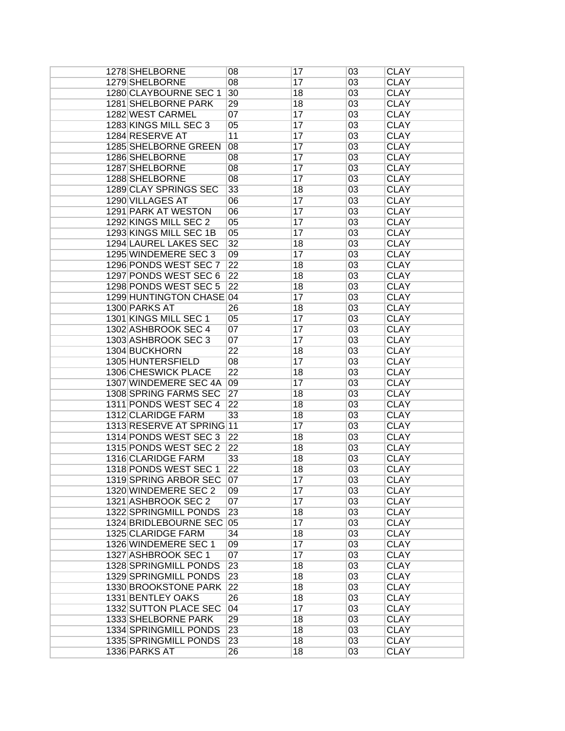| 1278 SHELBORNE                               | 08              | 17 | 03       | <b>CLAY</b>                |
|----------------------------------------------|-----------------|----|----------|----------------------------|
| 1279 SHELBORNE                               | 08              | 17 | 03       | <b>CLAY</b>                |
| 1280 CLAYBOURNE SEC 1                        | 30              | 18 | 03       | <b>CLAY</b>                |
| 1281 SHELBORNE PARK                          | 29              | 18 | 03       | <b>CLAY</b>                |
| 1282 WEST CARMEL                             | 07              | 17 | 03       | <b>CLAY</b>                |
| 1283 KINGS MILL SEC 3                        | 05              | 17 | 03       | <b>CLAY</b>                |
| 1284 RESERVE AT                              | 11              | 17 | 03       | <b>CLAY</b>                |
| 1285 SHELBORNE GREEN                         | 08              | 17 | 03       | <b>CLAY</b>                |
| 1286 SHELBORNE                               | $\overline{08}$ | 17 | 03       | <b>CLAY</b>                |
| 1287 SHELBORNE                               | 08              | 17 | 03       | <b>CLAY</b>                |
| 1288 SHELBORNE                               | $\overline{08}$ | 17 | 03       | <b>CLAY</b>                |
|                                              |                 |    |          |                            |
| 1289 CLAY SPRINGS SEC                        | 33              | 18 | 03       | <b>CLAY</b>                |
| 1290 VILLAGES AT                             | 06              | 17 | 03       | <b>CLAY</b>                |
| 1291 PARK AT WESTON                          | 06              | 17 | 03       | <b>CLAY</b>                |
| 1292 KINGS MILL SEC 2                        | 05              | 17 | 03       | <b>CLAY</b>                |
| 1293 KINGS MILL SEC 1B                       | 05              | 17 | 03       | <b>CLAY</b>                |
| 1294 LAUREL LAKES SEC                        | $\overline{32}$ | 18 | 03       | <b>CLAY</b>                |
| 1295 WINDEMERE SEC 3                         | 09              | 17 | 03       | <b>CLAY</b>                |
| 1296 PONDS WEST SEC 7                        | $\overline{22}$ | 18 | 03       | <b>CLAY</b>                |
| 1297 PONDS WEST SEC 6                        | $\overline{22}$ | 18 | 03       | <b>CLAY</b>                |
| 1298 PONDS WEST SEC 5                        | $\overline{22}$ | 18 | 03       | <b>CLAY</b>                |
| 1299 HUNTINGTON CHASE 04                     |                 | 17 | 03       | <b>CLAY</b>                |
| 1300 PARKS AT                                | 26              | 18 | 03       | <b>CLAY</b>                |
| 1301 KINGS MILL SEC 1                        | 05              | 17 | 03       | <b>CLAY</b>                |
| 1302 ASHBROOK SEC 4                          | 07              | 17 | 03       | <b>CLAY</b>                |
| 1303 ASHBROOK SEC 3                          | 07              | 17 | 03       | <b>CLAY</b>                |
| 1304 BUCKHORN                                | $\overline{22}$ | 18 | 03       | <b>CLAY</b>                |
| 1305 HUNTERSFIELD                            | 08              | 17 | 03       | <b>CLAY</b>                |
| 1306 CHESWICK PLACE                          | $\overline{22}$ | 18 | 03       | <b>CLAY</b>                |
| 1307 WINDEMERE SEC 4A                        | 09              | 17 | 03       | <b>CLAY</b>                |
| 1308 SPRING FARMS SEC                        | 27              | 18 | 03       | <b>CLAY</b>                |
| 1311 PONDS WEST SEC 4                        | $\overline{22}$ | 18 | 03       | <b>CLAY</b>                |
| 1312 CLARIDGE FARM                           | 33              | 18 | 03       | <b>CLAY</b>                |
| 1313 RESERVE AT SPRING 11                    |                 | 17 | 03       | <b>CLAY</b>                |
| 1314 PONDS WEST SEC 3                        | $\overline{22}$ | 18 | 03       | <b>CLAY</b>                |
| 1315 PONDS WEST SEC 2                        | $\overline{22}$ | 18 | 03       | <b>CLAY</b>                |
| 1316 CLARIDGE FARM                           | 33              | 18 | 03       | <b>CLAY</b>                |
| 1318 PONDS WEST SEC 1                        | $\overline{22}$ | 18 | 03       | <b>CLAY</b>                |
| 1319 SPRING ARBOR SEC                        | 07              | 17 | 03       | <b>CLAY</b>                |
| 1320 WINDEMERE SEC 2                         | 09              |    |          | <b>CLAY</b>                |
|                                              |                 | 17 | 03       |                            |
| 1321 ASHBROOK SEC 2<br>1322 SPRINGMILL PONDS | 07<br>23        | 17 | 03<br>03 | <b>CLAY</b><br><b>CLAY</b> |
|                                              |                 | 18 |          |                            |
| 1324 BRIDLEBOURNE SEC 05                     |                 | 17 | 03       | <b>CLAY</b>                |
| 1325 CLARIDGE FARM                           | 34              | 18 | 03       | <b>CLAY</b>                |
| 1326 WINDEMERE SEC 1                         | 09              | 17 | 03       | <b>CLAY</b>                |
| 1327 ASHBROOK SEC 1                          | 07              | 17 | 03       | <b>CLAY</b>                |
| 1328 SPRINGMILL PONDS                        | 23              | 18 | 03       | <b>CLAY</b>                |
| 1329 SPRINGMILL PONDS                        | 23              | 18 | 03       | <b>CLAY</b>                |
| 1330 BROOKSTONE PARK                         | 22              | 18 | 03       | <b>CLAY</b>                |
| 1331 BENTLEY OAKS                            | 26              | 18 | 03       | <b>CLAY</b>                |
| 1332 SUTTON PLACE SEC                        | 04              | 17 | 03       | <b>CLAY</b>                |
| 1333 SHELBORNE PARK                          | 29              | 18 | 03       | <b>CLAY</b>                |
| 1334 SPRINGMILL PONDS                        | 23              | 18 | 03       | <b>CLAY</b>                |
| 1335 SPRINGMILL PONDS                        | 23              | 18 | 03       | <b>CLAY</b>                |
| 1336 PARKS AT                                | 26              | 18 | 03       | <b>CLAY</b>                |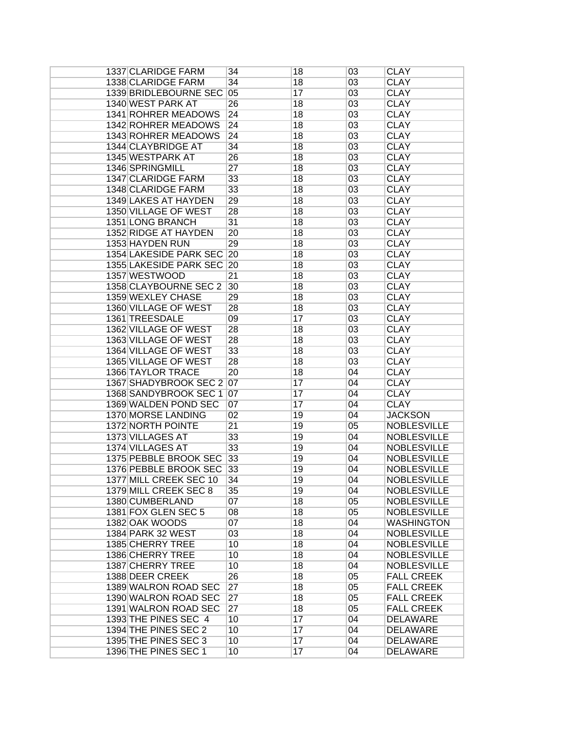| 1337 CLARIDGE FARM       | 34              | 18 | 03 | <b>CLAY</b>        |
|--------------------------|-----------------|----|----|--------------------|
| 1338 CLARIDGE FARM       | 34              | 18 | 03 | <b>CLAY</b>        |
| 1339 BRIDLEBOURNE SEC    | 05              | 17 | 03 | <b>CLAY</b>        |
| 1340 WEST PARK AT        | 26              | 18 | 03 | <b>CLAY</b>        |
| 1341 ROHRER MEADOWS      | $\overline{24}$ | 18 | 03 | <b>CLAY</b>        |
| 1342 ROHRER MEADOWS      | $\overline{24}$ | 18 | 03 | <b>CLAY</b>        |
| 1343 ROHRER MEADOWS      | 24              | 18 | 03 | <b>CLAY</b>        |
| 1344 CLAYBRIDGE AT       | 34              | 18 | 03 | <b>CLAY</b>        |
| 1345 WESTPARK AT         | 26              | 18 | 03 | <b>CLAY</b>        |
| 1346 SPRINGMILL          | $\overline{27}$ | 18 | 03 | <b>CLAY</b>        |
| 1347 CLARIDGE FARM       | 33              | 18 | 03 | <b>CLAY</b>        |
| 1348 CLARIDGE FARM       | 33              | 18 | 03 | <b>CLAY</b>        |
| 1349 LAKES AT HAYDEN     | 29              | 18 | 03 | <b>CLAY</b>        |
| 1350 VILLAGE OF WEST     | 28              | 18 | 03 | <b>CLAY</b>        |
| 1351 LONG BRANCH         | 31              | 18 | 03 | <b>CLAY</b>        |
| 1352 RIDGE AT HAYDEN     | 20              | 18 | 03 | <b>CLAY</b>        |
|                          |                 |    |    |                    |
| 1353 HAYDEN RUN          | 29              | 18 | 03 | <b>CLAY</b>        |
| 1354 LAKESIDE PARK SEC   | 20              | 18 | 03 | <b>CLAY</b>        |
| 1355 LAKESIDE PARK SEC   | 20              | 18 | 03 | <b>CLAY</b>        |
| 1357 WESTWOOD            | $\overline{21}$ | 18 | 03 | <b>CLAY</b>        |
| 1358 CLAYBOURNE SEC 2    | 30              | 18 | 03 | <b>CLAY</b>        |
| 1359 WEXLEY CHASE        | 29              | 18 | 03 | <b>CLAY</b>        |
| 1360 VILLAGE OF WEST     | 28              | 18 | 03 | <b>CLAY</b>        |
| 1361 TREESDALE           | 09              | 17 | 03 | <b>CLAY</b>        |
| 1362 VILLAGE OF WEST     | 28              | 18 | 03 | <b>CLAY</b>        |
| 1363 VILLAGE OF WEST     | 28              | 18 | 03 | <b>CLAY</b>        |
| 1364 VILLAGE OF WEST     | 33              | 18 | 03 | <b>CLAY</b>        |
| 1365 VILLAGE OF WEST     | 28              | 18 | 03 | <b>CLAY</b>        |
| <b>1366 TAYLOR TRACE</b> | $\overline{20}$ | 18 | 04 | <b>CLAY</b>        |
| 1367 SHADYBROOK SEC 2 07 |                 | 17 | 04 | <b>CLAY</b>        |
| 1368 SANDYBROOK SEC 1 07 |                 | 17 | 04 | <b>CLAY</b>        |
| 1369 WALDEN POND SEC     | 07              | 17 | 04 | <b>CLAY</b>        |
| 1370 MORSE LANDING       | 02              | 19 | 04 | <b>JACKSON</b>     |
| 1372 NORTH POINTE        | $\overline{21}$ | 19 | 05 | <b>NOBLESVILLE</b> |
| 1373 VILLAGES AT         | 33              | 19 | 04 | <b>NOBLESVILLE</b> |
| 1374 VILLAGES AT         | 33              | 19 | 04 | <b>NOBLESVILLE</b> |
| 1375 PEBBLE BROOK SEC    | 33              | 19 | 04 | <b>NOBLESVILLE</b> |
| 1376 PEBBLE BROOK SEC    | 33              | 19 | 04 | <b>NOBLESVILLE</b> |
| 1377 MILL CREEK SEC 10   | 34              | 19 | 04 | <b>NOBLESVILLE</b> |
| 1379 MILL CREEK SEC 8    | 35              | 19 | 04 | <b>NOBLESVILLE</b> |
| 1380 CUMBERLAND          | 07              | 18 | 05 | <b>NOBLESVILLE</b> |
| 1381 FOX GLEN SEC 5      | 08              | 18 | 05 | <b>NOBLESVILLE</b> |
| 1382 OAK WOODS           | 07              | 18 | 04 | <b>WASHINGTON</b>  |
| 1384 PARK 32 WEST        | 03              | 18 | 04 | <b>NOBLESVILLE</b> |
| 1385 CHERRY TREE         | 10              | 18 | 04 | <b>NOBLESVILLE</b> |
| 1386 CHERRY TREE         | 10              | 18 | 04 | <b>NOBLESVILLE</b> |
| <b>1387 CHERRY TREE</b>  | 10              | 18 | 04 | <b>NOBLESVILLE</b> |
| 1388 DEER CREEK          | 26              | 18 | 05 | <b>FALL CREEK</b>  |
| 1389 WALRON ROAD SEC     | 27              | 18 | 05 | <b>FALL CREEK</b>  |
| 1390 WALRON ROAD SEC     | 27              | 18 | 05 | <b>FALL CREEK</b>  |
| 1391 WALRON ROAD SEC     | 27              | 18 | 05 | <b>FALL CREEK</b>  |
| 1393 THE PINES SEC 4     | 10              | 17 | 04 | <b>DELAWARE</b>    |
| 1394 THE PINES SEC 2     | 10              | 17 | 04 | <b>DELAWARE</b>    |
| 1395 THE PINES SEC 3     | 10              | 17 | 04 | <b>DELAWARE</b>    |
| 1396 THE PINES SEC 1     | 10              | 17 | 04 | <b>DELAWARE</b>    |
|                          |                 |    |    |                    |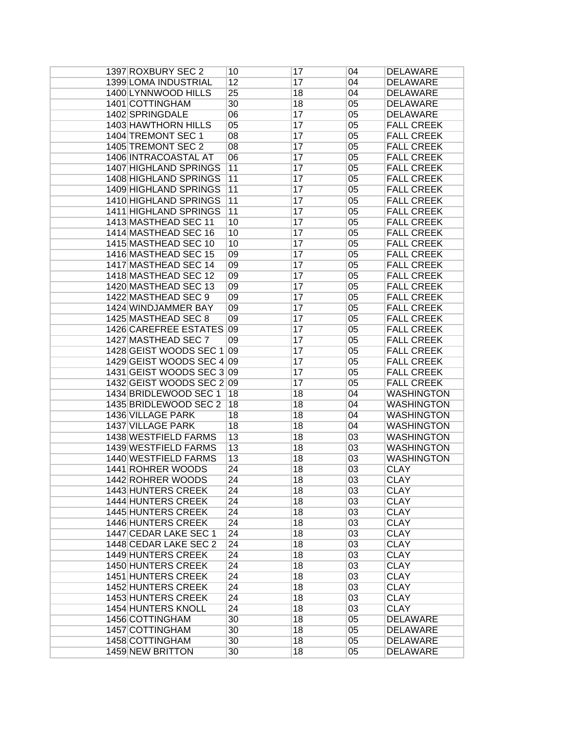| 1397 ROXBURY SEC 2                                     | 10              | 17       | 04              | <b>DELAWARE</b>                        |
|--------------------------------------------------------|-----------------|----------|-----------------|----------------------------------------|
| <b>1399 LOMA INDUSTRIAL</b>                            | 12              | 17       | 04              | <b>DELAWARE</b>                        |
| 1400 LYNNWOOD HILLS                                    | $\overline{25}$ | 18       | 04              | <b>DELAWARE</b>                        |
| 1401 COTTINGHAM                                        | 30              | 18       | 05              | <b>DELAWARE</b>                        |
| 1402 SPRINGDALE                                        | 06              | 17       | 05              | <b>DELAWARE</b>                        |
| <b>1403 HAWTHORN HILLS</b>                             | 05              | 17       | 05              | <b>FALL CREEK</b>                      |
| 1404 TREMONT SEC 1                                     | 08              | 17       | 05              | <b>FALL CREEK</b>                      |
| 1405 TREMONT SEC 2                                     | 08              | 17       | 05              | <b>FALL CREEK</b>                      |
| 1406 INTRACOASTAL AT                                   | 06              | 17       | 05              | <b>FALL CREEK</b>                      |
| <b>1407 HIGHLAND SPRINGS</b>                           | 11              | 17       | 05              | <b>FALL CREEK</b>                      |
| <b>1408 HIGHLAND SPRINGS</b>                           | 11              | 17       | 05              | <b>FALL CREEK</b>                      |
| <b>1409 HIGHLAND SPRINGS</b>                           | 11              | 17       | 05              | <b>FALL CREEK</b>                      |
| <b>1410 HIGHLAND SPRINGS</b>                           | 11              | 17       | 05              | <b>FALL CREEK</b>                      |
| 1411 HIGHLAND SPRINGS                                  | 11              | 17       | 05              | <b>FALL CREEK</b>                      |
| 1413 MASTHEAD SEC 11                                   | 10              | 17       | 05              | <b>FALL CREEK</b>                      |
| 1414 MASTHEAD SEC 16                                   | 10              | 17       | $\overline{05}$ | <b>FALL CREEK</b>                      |
| 1415 MASTHEAD SEC 10                                   | 10              | 17       | $\overline{05}$ | <b>FALL CREEK</b>                      |
| 1416 MASTHEAD SEC 15                                   | 09              | 17       | 05              | <b>FALL CREEK</b>                      |
| 1417 MASTHEAD SEC 14                                   | 09              | 17       | 05              | <b>FALL CREEK</b>                      |
| 1418 MASTHEAD SEC 12                                   | 09              | 17       | 05              | <b>FALL CREEK</b>                      |
| 1420 MASTHEAD SEC 13                                   | 09              | 17       | $\overline{05}$ | <b>FALL CREEK</b>                      |
| 1422 MASTHEAD SEC 9                                    | 09              | 17       | 05              | <b>FALL CREEK</b>                      |
| 1424 WINDJAMMER BAY                                    | 09              | 17       | 05              | <b>FALL CREEK</b>                      |
| 1425 MASTHEAD SEC 8                                    | 09              | 17       | 05              | <b>FALL CREEK</b>                      |
| <b>1426 CAREFREE ESTATES</b>                           | 09              | 17       | 05              | <b>FALL CREEK</b>                      |
| 1427 MASTHEAD SEC 7                                    |                 | 17       |                 | <b>FALL CREEK</b>                      |
|                                                        | 09              |          | 05              |                                        |
| 1428 GEIST WOODS SEC 1 09                              |                 | 17       | 05              | <b>FALL CREEK</b>                      |
| 1429 GEIST WOODS SEC 4 09<br>1431 GEIST WOODS SEC 3 09 |                 | 17       | 05              | <b>FALL CREEK</b><br><b>FALL CREEK</b> |
| 1432 GEIST WOODS SEC 2 09                              |                 | 17<br>17 | 05              | <b>FALL CREEK</b>                      |
|                                                        |                 |          | 05              |                                        |
| 1434 BRIDLEWOOD SEC 1                                  | 18              | 18       | 04              | <b>WASHINGTON</b>                      |
| 1435 BRIDLEWOOD SEC 2                                  | 18              | 18       | 04              | <b>WASHINGTON</b>                      |
| 1436 VILLAGE PARK                                      | 18              | 18       | $\overline{04}$ | <b>WASHINGTON</b>                      |
| <b>1437 VILLAGE PARK</b>                               | 18              | 18       | $\overline{04}$ | <b>WASHINGTON</b>                      |
| 1438 WESTFIELD FARMS                                   | 13              | 18       | $\overline{03}$ | <b>WASHINGTON</b>                      |
| 1439 WESTFIELD FARMS                                   | 13              | 18       | 03              | <b>WASHINGTON</b>                      |
| <b>1440 WESTFIELD FARMS</b>                            | 13              | 18       | 03              | <b>WASHINGTON</b>                      |
| 1441 ROHRER WOODS                                      | $\overline{24}$ | 18       | $\overline{03}$ | <b>CLAY</b>                            |
| 1442 ROHRER WOODS                                      | $\overline{24}$ | 18       | 03              | <b>CLAY</b>                            |
| 1443 HUNTERS CREEK                                     | 24              | 18       | 03              | <b>CLAY</b>                            |
| <b>1444 HUNTERS CREEK</b>                              | 24              | 18       | 03              | <b>CLAY</b>                            |
| <b>1445 HUNTERS CREEK</b>                              | 24              | 18       | 03              | <b>CLAY</b>                            |
| 1446 HUNTERS CREEK                                     | 24              | 18       | 03              | <b>CLAY</b>                            |
| 1447 CEDAR LAKE SEC 1                                  | 24              | 18       | 03              | <b>CLAY</b>                            |
| 1448 CEDAR LAKE SEC 2                                  | 24              | 18       | 03              | <b>CLAY</b>                            |
| <b>1449 HUNTERS CREEK</b>                              | $\overline{24}$ | 18       | $\overline{03}$ | <b>CLAY</b>                            |
| <b>1450 HUNTERS CREEK</b>                              | $\overline{24}$ | 18       | $\overline{03}$ | <b>CLAY</b>                            |
| <b>1451 HUNTERS CREEK</b>                              | 24              | 18       | $\overline{03}$ | <b>CLAY</b>                            |
| <b>1452 HUNTERS CREEK</b>                              | $\overline{24}$ | 18       | $\overline{03}$ | <b>CLAY</b>                            |
| <b>1453 HUNTERS CREEK</b>                              | $\overline{24}$ | 18       | $\overline{03}$ | <b>CLAY</b>                            |
| <b>1454 HUNTERS KNOLL</b>                              | 24              | 18       | $\overline{03}$ | <b>CLAY</b>                            |
| 1456 COTTINGHAM                                        | 30              | 18       | 05              | <b>DELAWARE</b>                        |
| 1457 COTTINGHAM                                        | 30              | 18       | 05              | <b>DELAWARE</b>                        |
| 1458 COTTINGHAM                                        | 30              | 18       | 05              | <b>DELAWARE</b>                        |
| 1459 NEW BRITTON                                       | 30              | 18       | $05\,$          | <b>DELAWARE</b>                        |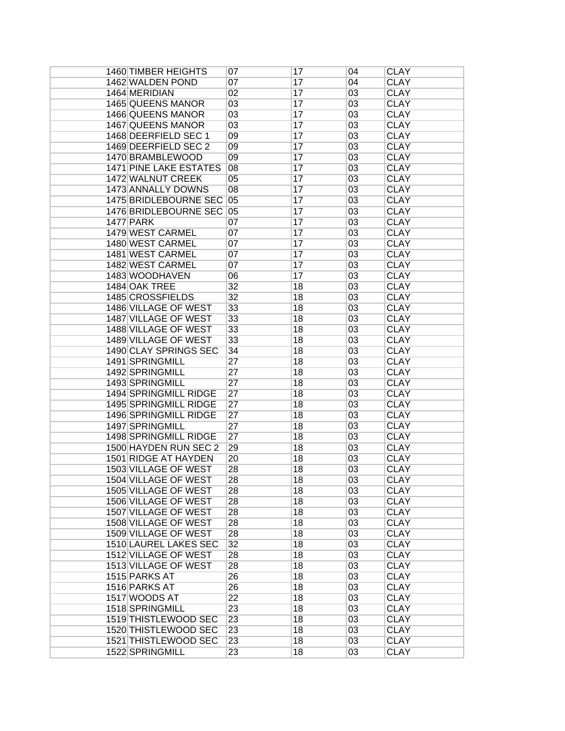| 1460 TIMBER HEIGHTS           | 07              | 17 | 04 | <b>CLAY</b> |
|-------------------------------|-----------------|----|----|-------------|
| 1462 WALDEN POND              | 07              | 17 | 04 | <b>CLAY</b> |
| 1464 MERIDIAN                 | 02              | 17 | 03 | <b>CLAY</b> |
| <b>1465 QUEENS MANOR</b>      | 03              | 17 | 03 | <b>CLAY</b> |
| <b>1466 QUEENS MANOR</b>      | 03              | 17 | 03 | <b>CLAY</b> |
| 1467 QUEENS MANOR             | 03              | 17 | 03 | <b>CLAY</b> |
| 1468 DEERFIELD SEC 1          | 09              | 17 | 03 | <b>CLAY</b> |
| 1469 DEERFIELD SEC 2          | 09              | 17 | 03 | <b>CLAY</b> |
| 1470 BRAMBLEWOOD              | 09              | 17 | 03 | <b>CLAY</b> |
| <b>1471 PINE LAKE ESTATES</b> | 08              | 17 | 03 | <b>CLAY</b> |
| 1472 WALNUT CREEK             | 05              | 17 | 03 | <b>CLAY</b> |
| 1473 ANNALLY DOWNS            | 08              | 17 | 03 | <b>CLAY</b> |
| 1475 BRIDLEBOURNE SEC         | 05              | 17 | 03 | <b>CLAY</b> |
| 1476 BRIDLEBOURNE SEC 05      |                 | 17 | 03 | <b>CLAY</b> |
| <b>1477 PARK</b>              | 07              | 17 | 03 | <b>CLAY</b> |
| 1479 WEST CARMEL              | 07              | 17 | 03 | <b>CLAY</b> |
|                               | 07              |    |    |             |
| 1480 WEST CARMEL              |                 | 17 | 03 | <b>CLAY</b> |
| 1481 WEST CARMEL              | 07              | 17 | 03 | <b>CLAY</b> |
| 1482 WEST CARMEL              | 07              | 17 | 03 | <b>CLAY</b> |
| 1483 WOODHAVEN                | 06              | 17 | 03 | <b>CLAY</b> |
| 1484 OAK TREE                 | 32              | 18 | 03 | <b>CLAY</b> |
| 1485 CROSSFIELDS              | 32              | 18 | 03 | <b>CLAY</b> |
| 1486 VILLAGE OF WEST          | 33              | 18 | 03 | <b>CLAY</b> |
| 1487 VILLAGE OF WEST          | 33              | 18 | 03 | <b>CLAY</b> |
| 1488 VILLAGE OF WEST          | 33              | 18 | 03 | <b>CLAY</b> |
| 1489 VILLAGE OF WEST          | 33              | 18 | 03 | <b>CLAY</b> |
| 1490 CLAY SPRINGS SEC         | 34              | 18 | 03 | <b>CLAY</b> |
| 1491 SPRINGMILL               | 27              | 18 | 03 | <b>CLAY</b> |
| 1492 SPRINGMILL               | $\overline{27}$ | 18 | 03 | <b>CLAY</b> |
| 1493 SPRINGMILL               | 27              | 18 | 03 | <b>CLAY</b> |
| 1494 SPRINGMILL RIDGE         | $\overline{27}$ | 18 | 03 | <b>CLAY</b> |
| 1495 SPRINGMILL RIDGE         | 27              | 18 | 03 | <b>CLAY</b> |
| <b>1496 SPRINGMILL RIDGE</b>  | 27              | 18 | 03 | <b>CLAY</b> |
| 1497 SPRINGMILL               | 27              | 18 | 03 | <b>CLAY</b> |
| <b>1498 SPRINGMILL RIDGE</b>  | $\overline{27}$ | 18 | 03 | <b>CLAY</b> |
| 1500 HAYDEN RUN SEC 2         | 29              | 18 | 03 | <b>CLAY</b> |
| 1501 RIDGE AT HAYDEN          | 20              | 18 | 03 | <b>CLAY</b> |
| 1503 VILLAGE OF WEST          | 28              | 18 | 03 | <b>CLAY</b> |
| <b>1504 VILLAGE OF WEST</b>   | 28              | 18 | 03 | <b>CLAY</b> |
| 1505 VILLAGE OF WEST          | 28              | 18 | 03 | <b>CLAY</b> |
| 1506 VILLAGE OF WEST          | 28              | 18 | 03 | <b>CLAY</b> |
| 1507 VILLAGE OF WEST          | 28              | 18 | 03 | <b>CLAY</b> |
| 1508 VILLAGE OF WEST          | 28              | 18 | 03 | <b>CLAY</b> |
| 1509 VILLAGE OF WEST          | 28              | 18 | 03 | <b>CLAY</b> |
| <b>1510 LAUREL LAKES SEC</b>  | 32              | 18 | 03 | <b>CLAY</b> |
| 1512 VILLAGE OF WEST          | 28              | 18 | 03 | <b>CLAY</b> |
| 1513 VILLAGE OF WEST          | 28              | 18 | 03 | <b>CLAY</b> |
| 1515 PARKS AT                 | 26              |    | 03 | <b>CLAY</b> |
| 1516 PARKS AT                 |                 | 18 |    |             |
|                               | $\overline{26}$ | 18 | 03 | <b>CLAY</b> |
| 1517 WOODS AT                 | $\overline{22}$ | 18 | 03 | <b>CLAY</b> |
| 1518 SPRINGMILL               | 23              | 18 | 03 | <b>CLAY</b> |
| 1519 THISTLEWOOD SEC          | 23              | 18 | 03 | <b>CLAY</b> |
| 1520 THISTLEWOOD SEC          | 23              | 18 | 03 | <b>CLAY</b> |
| 1521 THISTLEWOOD SEC          | 23              | 18 | 03 | <b>CLAY</b> |
| 1522 SPRINGMILL               | $\overline{23}$ | 18 | 03 | <b>CLAY</b> |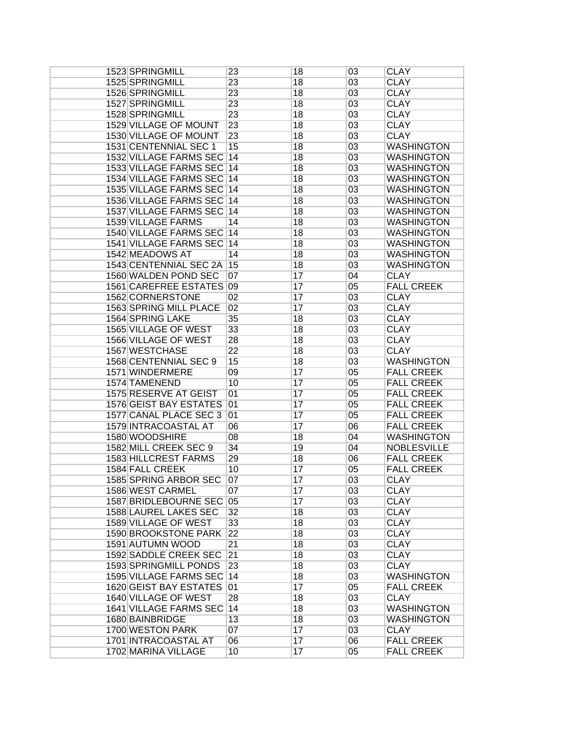| 1523 SPRINGMILL               | 23              | 18 | 03 | <b>CLAY</b>        |
|-------------------------------|-----------------|----|----|--------------------|
| 1525 SPRINGMILL               | 23              | 18 | 03 | <b>CLAY</b>        |
| 1526 SPRINGMILL               | 23              | 18 | 03 | <b>CLAY</b>        |
| 1527 SPRINGMILL               | $\overline{23}$ | 18 | 03 | <b>CLAY</b>        |
| 1528 SPRINGMILL               | 23              | 18 | 03 | <b>CLAY</b>        |
| <b>1529 VILLAGE OF MOUNT</b>  | 23              | 18 | 03 | <b>CLAY</b>        |
| <b>1530 VILLAGE OF MOUNT</b>  | 23              | 18 | 03 | <b>CLAY</b>        |
| 1531 CENTENNIAL SEC 1         | 15              | 18 | 03 | <b>WASHINGTON</b>  |
| 1532 VILLAGE FARMS SEC        | 14              | 18 | 03 | <b>WASHINGTON</b>  |
| 1533 VILLAGE FARMS SEC 14     |                 | 18 | 03 | <b>WASHINGTON</b>  |
| 1534 VILLAGE FARMS SEC 14     |                 | 18 | 03 | <b>WASHINGTON</b>  |
| 1535 VILLAGE FARMS SEC 14     |                 |    |    | <b>WASHINGTON</b>  |
|                               |                 | 18 | 03 |                    |
| 1536 VILLAGE FARMS SEC 14     |                 | 18 | 03 | <b>WASHINGTON</b>  |
| 1537 VILLAGE FARMS SEC 14     |                 | 18 | 03 | <b>WASHINGTON</b>  |
| 1539 VILLAGE FARMS            | 14              | 18 | 03 | <b>WASHINGTON</b>  |
| 1540 VILLAGE FARMS SEC 14     |                 | 18 | 03 | <b>WASHINGTON</b>  |
| 1541 VILLAGE FARMS SEC 14     |                 | 18 | 03 | <b>WASHINGTON</b>  |
| 1542 MEADOWS AT               | 14              | 18 | 03 | <b>WASHINGTON</b>  |
| 1543 CENTENNIAL SEC 2A        | 15              | 18 | 03 | <b>WASHINGTON</b>  |
| 1560 WALDEN POND SEC          | 07              | 17 | 04 | <b>CLAY</b>        |
| 1561 CAREFREE ESTATES 09      |                 | 17 | 05 | <b>FALL CREEK</b>  |
| 1562 CORNERSTONE              | 02              | 17 | 03 | <b>CLAY</b>        |
| 1563 SPRING MILL PLACE        | 02              | 17 | 03 | <b>CLAY</b>        |
| 1564 SPRING LAKE              | 35              | 18 | 03 | <b>CLAY</b>        |
| <b>1565 VILLAGE OF WEST</b>   | 33              | 18 | 03 | <b>CLAY</b>        |
| 1566 VILLAGE OF WEST          | 28              | 18 | 03 | <b>CLAY</b>        |
| 1567 WESTCHASE                | 22              | 18 | 03 | <b>CLAY</b>        |
| 1568 CENTENNIAL SEC 9         | 15              | 18 | 03 | <b>WASHINGTON</b>  |
| 1571 WINDERMERE               | 09              | 17 | 05 | <b>FALL CREEK</b>  |
| 1574 TAMENEND                 | 10              | 17 | 05 | <b>FALL CREEK</b>  |
| <b>1575 RESERVE AT GEIST</b>  | 01              | 17 | 05 | <b>FALL CREEK</b>  |
| <b>1576 GEIST BAY ESTATES</b> | 01              | 17 | 05 | <b>FALL CREEK</b>  |
| 1577 CANAL PLACE SEC 3        | 01              | 17 | 05 | <b>FALL CREEK</b>  |
| 1579 INTRACOASTAL AT          | 06              | 17 | 06 | <b>FALL CREEK</b>  |
| 1580 WOODSHIRE                | 08              | 18 | 04 | <b>WASHINGTON</b>  |
| 1582 MILL CREEK SEC 9         | 34              | 19 | 04 | <b>NOBLESVILLE</b> |
| <b>1583 HILLCREST FARMS</b>   | 29              | 18 | 06 | <b>FALL CREEK</b>  |
| 1584 FALL CREEK               | 10              | 17 | 05 | <b>FALL CREEK</b>  |
|                               | 07              | 17 |    |                    |
| 1585 SPRING ARBOR SEC         |                 |    | 03 | <b>CLAY</b>        |
| 1586 WEST CARMEL              | 07              | 17 | 03 | <b>CLAY</b>        |
| 1587 BRIDLEBOURNE SEC 05      |                 | 17 | 03 | <b>CLAY</b>        |
| <b>1588 LAUREL LAKES SEC</b>  | 32              | 18 | 03 | <b>CLAY</b>        |
| 1589 VILLAGE OF WEST          | 33              | 18 | 03 | <b>CLAY</b>        |
| 1590 BROOKSTONE PARK          | 22              | 18 | 03 | <b>CLAY</b>        |
| 1591 AUTUMN WOOD              | 21              | 18 | 03 | <b>CLAY</b>        |
| <b>1592 SADDLE CREEK SEC</b>  | $\overline{21}$ | 18 | 03 | <b>CLAY</b>        |
| <b>1593 SPRINGMILL PONDS</b>  | 23              | 18 | 03 | <b>CLAY</b>        |
| 1595 VILLAGE FARMS SEC 14     |                 | 18 | 03 | <b>WASHINGTON</b>  |
| <b>1620 GEIST BAY ESTATES</b> | 01              | 17 | 05 | <b>FALL CREEK</b>  |
| 1640 VILLAGE OF WEST          | 28              | 18 | 03 | <b>CLAY</b>        |
| 1641 VILLAGE FARMS SEC 14     |                 | 18 | 03 | <b>WASHINGTON</b>  |
| 1680 BAINBRIDGE               | 13              | 18 | 03 | <b>WASHINGTON</b>  |
| 1700 WESTON PARK              | 07              | 17 | 03 | <b>CLAY</b>        |
| 1701 INTRACOASTAL AT          | 06              | 17 | 06 | <b>FALL CREEK</b>  |
| 1702 MARINA VILLAGE           | 10              | 17 | 05 | <b>FALL CREEK</b>  |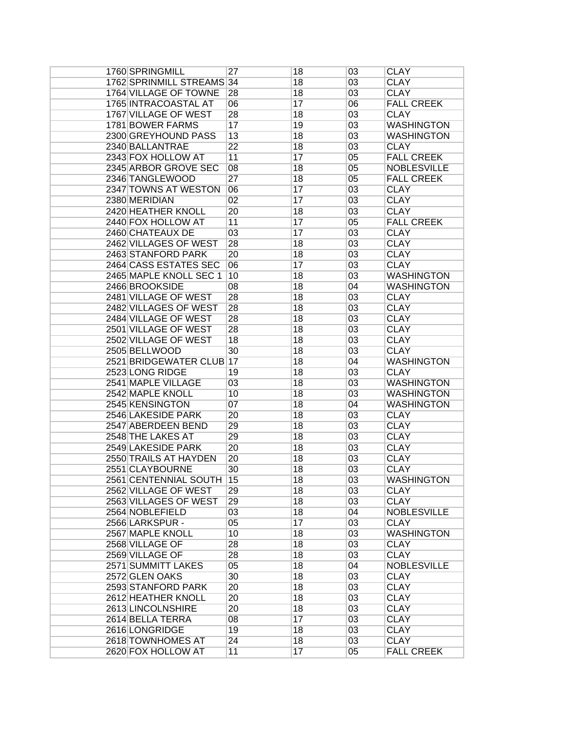| 1760 SPRINGMILL              | 27              | 18 | 03       | <b>CLAY</b>        |
|------------------------------|-----------------|----|----------|--------------------|
| 1762 SPRINMILL STREAMS 34    |                 | 18 | 03       | <b>CLAY</b>        |
| <b>1764 VILLAGE OF TOWNE</b> | 28              | 18 | 03       | <b>CLAY</b>        |
| 1765 INTRACOASTAL AT         | 06              | 17 | 06       | <b>FALL CREEK</b>  |
| 1767 VILLAGE OF WEST         | 28              | 18 | 03       | <b>CLAY</b>        |
| 1781 BOWER FARMS             | 17              | 19 | 03       | <b>WASHINGTON</b>  |
| 2300 GREYHOUND PASS          | 13              | 18 | 03       | <b>WASHINGTON</b>  |
| 2340 BALLANTRAE              | $\overline{22}$ | 18 | 03       | <b>CLAY</b>        |
| 2343 FOX HOLLOW AT           | 11              | 17 | 05       | <b>FALL CREEK</b>  |
| 2345 ARBOR GROVE SEC         | 08              | 18 | 05       | <b>NOBLESVILLE</b> |
| 2346 TANGLEWOOD              | $\overline{27}$ | 18 | 05       | <b>FALL CREEK</b>  |
| 2347 TOWNS AT WESTON         | 06              | 17 | 03       | <b>CLAY</b>        |
| 2380 MERIDIAN                | 02              | 17 | 03       | <b>CLAY</b>        |
| 2420 HEATHER KNOLL           | 20              | 18 | 03       | <b>CLAY</b>        |
| 2440 FOX HOLLOW AT           | 11              | 17 | 05       | <b>FALL CREEK</b>  |
| 2460 CHATEAUX DE             | 03              | 17 | 03       | <b>CLAY</b>        |
| 2462 VILLAGES OF WEST        | 28              | 18 | 03       | <b>CLAY</b>        |
| 2463 STANFORD PARK           | 20              | 18 | 03       | <b>CLAY</b>        |
| 2464 CASS ESTATES SEC        | 06              | 17 | 03       | <b>CLAY</b>        |
| 2465 MAPLE KNOLL SEC 1       | 10              | 18 | 03       | <b>WASHINGTON</b>  |
| 2466 BROOKSIDE               | 08              | 18 | 04       | <b>WASHINGTON</b>  |
| 2481 VILLAGE OF WEST         | 28              | 18 | 03       | <b>CLAY</b>        |
| 2482 VILLAGES OF WEST        | 28              | 18 | 03       | <b>CLAY</b>        |
| 2484 VILLAGE OF WEST         | 28              | 18 | 03       | <b>CLAY</b>        |
| 2501 VILLAGE OF WEST         | 28              | 18 | 03       | <b>CLAY</b>        |
| 2502 VILLAGE OF WEST         | 18              | 18 | 03       | <b>CLAY</b>        |
| 2505 BELLWOOD                | 30              | 18 | 03       | <b>CLAY</b>        |
| 2521 BRIDGEWATER CLUB 17     |                 | 18 | 04       | <b>WASHINGTON</b>  |
| 2523 LONG RIDGE              | 19              | 18 | 03       | <b>CLAY</b>        |
| 2541 MAPLE VILLAGE           | 03              | 18 |          | <b>WASHINGTON</b>  |
| 2542 MAPLE KNOLL             | 10              | 18 | 03       | <b>WASHINGTON</b>  |
| 2545 KENSINGTON              | 07              | 18 | 03<br>04 | <b>WASHINGTON</b>  |
| 2546 LAKESIDE PARK           | $\overline{20}$ | 18 | 03       | <b>CLAY</b>        |
|                              |                 |    |          |                    |
| 2547 ABERDEEN BEND           | 29              | 18 | 03       | <b>CLAY</b>        |
| 2548 THE LAKES AT            | 29              | 18 | 03       | <b>CLAY</b>        |
| 2549 LAKESIDE PARK           | $\overline{20}$ | 18 | 03       | <b>CLAY</b>        |
| 2550 TRAILS AT HAYDEN        | $\overline{20}$ | 18 | 03       | <b>CLAY</b>        |
| 2551 CLAYBOURNE              | 30              | 18 | 03       | <b>CLAY</b>        |
| 2561 CENTENNIAL SOUTH        | 15              | 18 | 03       | <b>WASHINGTON</b>  |
| 2562 VILLAGE OF WEST         | 29              | 18 | 03       | <b>CLAY</b>        |
| 2563 VILLAGES OF WEST        | 29              | 18 | 03       | <b>CLAY</b>        |
| 2564 NOBLEFIELD              | 03              | 18 | 04       | <b>NOBLESVILLE</b> |
| 2566 LARKSPUR -              | 05              | 17 | 03       | <b>CLAY</b>        |
| 2567 MAPLE KNOLL             | 10              | 18 | 03       | <b>WASHINGTON</b>  |
| 2568 VILLAGE OF              | 28              | 18 | 03       | <b>CLAY</b>        |
| 2569 VILLAGE OF              | 28              | 18 | 03       | <b>CLAY</b>        |
| 2571 SUMMITT LAKES           | 05              | 18 | 04       | <b>NOBLESVILLE</b> |
| 2572 GLEN OAKS               | 30              | 18 | 03       | <b>CLAY</b>        |
| <b>2593 STANFORD PARK</b>    | 20              | 18 | 03       | <b>CLAY</b>        |
| <b>2612 HEATHER KNOLL</b>    | 20              | 18 | 03       | <b>CLAY</b>        |
| 2613 LINCOLNSHIRE            | 20              | 18 | 03       | <b>CLAY</b>        |
| 2614 BELLA TERRA             | 08              | 17 | 03       | <b>CLAY</b>        |
| 2616 LONGRIDGE               | 19              | 18 | 03       | <b>CLAY</b>        |
| 2618 TOWNHOMES AT            | 24              | 18 | 03       | <b>CLAY</b>        |
| 2620 FOX HOLLOW AT           | 11              | 17 | 05       | <b>FALL CREEK</b>  |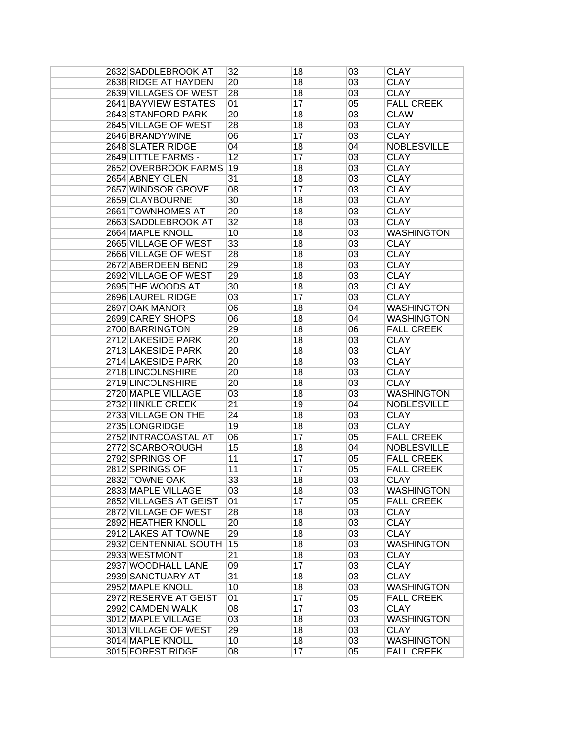| 2632 SADDLEBROOK AT    | 32              | 18 | 03              | <b>CLAY</b>        |
|------------------------|-----------------|----|-----------------|--------------------|
| 2638 RIDGE AT HAYDEN   | $\overline{20}$ | 18 | $\overline{03}$ | <b>CLAY</b>        |
| 2639 VILLAGES OF WEST  | 28              | 18 | $\overline{03}$ | <b>CLAY</b>        |
| 2641 BAYVIEW ESTATES   | 01              | 17 | 05              | <b>FALL CREEK</b>  |
| 2643 STANFORD PARK     | 20              | 18 | 03              | <b>CLAW</b>        |
| 2645 VILLAGE OF WEST   | 28              | 18 | 03              | <b>CLAY</b>        |
| 2646 BRANDYWINE        | 06              | 17 | 03              | <b>CLAY</b>        |
| 2648 SLATER RIDGE      | 04              | 18 | 04              | <b>NOBLESVILLE</b> |
| 2649 LITTLE FARMS -    | 12              | 17 | $\overline{03}$ | <b>CLAY</b>        |
| 2652 OVERBROOK FARMS   | 19              | 18 | 03              | <b>CLAY</b>        |
| 2654 ABNEY GLEN        | 31              | 18 | $\overline{03}$ | <b>CLAY</b>        |
| 2657 WINDSOR GROVE     | 08              | 17 | $\overline{03}$ | <b>CLAY</b>        |
|                        | 30              |    |                 | <b>CLAY</b>        |
| 2659 CLAYBOURNE        |                 | 18 | 03              |                    |
| 2661 TOWNHOMES AT      | 20              | 18 | 03              | <b>CLAY</b>        |
| 2663 SADDLEBROOK AT    | 32              | 18 | $\overline{03}$ | <b>CLAY</b>        |
| 2664 MAPLE KNOLL       | 10              | 18 | $\overline{03}$ | <b>WASHINGTON</b>  |
| 2665 VILLAGE OF WEST   | 33              | 18 | $\overline{03}$ | <b>CLAY</b>        |
| 2666 VILLAGE OF WEST   | 28              | 18 | $\overline{03}$ | <b>CLAY</b>        |
| 2672 ABERDEEN BEND     | 29              | 18 | 03              | <b>CLAY</b>        |
| 2692 VILLAGE OF WEST   | 29              | 18 | $\overline{03}$ | <b>CLAY</b>        |
| 2695 THE WOODS AT      | 30              | 18 | 03              | <b>CLAY</b>        |
| 2696 LAUREL RIDGE      | 03              | 17 | 03              | <b>CLAY</b>        |
| 2697 OAK MANOR         | 06              | 18 | 04              | <b>WASHINGTON</b>  |
| 2699 CAREY SHOPS       | 06              | 18 | 04              | <b>WASHINGTON</b>  |
| 2700 BARRINGTON        | 29              | 18 | 06              | <b>FALL CREEK</b>  |
| 2712 LAKESIDE PARK     | 20              | 18 | 03              | <b>CLAY</b>        |
| 2713 LAKESIDE PARK     | 20              | 18 | 03              | <b>CLAY</b>        |
| 2714 LAKESIDE PARK     | 20              | 18 | $\overline{03}$ | <b>CLAY</b>        |
| 2718 LINCOLNSHIRE      | 20              | 18 | 03              | <b>CLAY</b>        |
| 2719 LINCOLNSHIRE      | 20              | 18 | 03              | <b>CLAY</b>        |
| 2720 MAPLE VILLAGE     | 03              | 18 | 03              | <b>WASHINGTON</b>  |
| 2732 HINKLE CREEK      | $\overline{21}$ | 19 | 04              | <b>NOBLESVILLE</b> |
| 2733 VILLAGE ON THE    | $\overline{24}$ | 18 | $\overline{03}$ | <b>CLAY</b>        |
| 2735 LONGRIDGE         | 19              | 18 | $\overline{03}$ | <b>CLAY</b>        |
| 2752 INTRACOASTAL AT   | 06              | 17 | 05              | <b>FALL CREEK</b>  |
| 2772 SCARBOROUGH       | 15              | 18 | 04              | <b>NOBLESVILLE</b> |
| 2792 SPRINGS OF        | 11              | 17 | 05              | <b>FALL CREEK</b>  |
| 2812 SPRINGS OF        | 11              | 17 | 05              | <b>FALL CREEK</b>  |
| 2832 TOWNE OAK         | $\overline{33}$ | 18 | 03              | <b>CLAY</b>        |
| 2833 MAPLE VILLAGE     | 03              | 18 |                 | <b>WASHINGTON</b>  |
| 2852 VILLAGES AT GEIST |                 | 17 | 03              |                    |
|                        | 01              |    | 05              | <b>FALL CREEK</b>  |
| 2872 VILLAGE OF WEST   | 28              | 18 | 03              | <b>CLAY</b>        |
| 2892 HEATHER KNOLL     | 20              | 18 | 03              | <b>CLAY</b>        |
| 2912 LAKES AT TOWNE    | 29              | 18 | 03              | <b>CLAY</b>        |
| 2932 CENTENNIAL SOUTH  | 15              | 18 | 03              | <b>WASHINGTON</b>  |
| 2933 WESTMONT          | $\overline{21}$ | 18 | 03              | <b>CLAY</b>        |
| 2937 WOODHALL LANE     | 09              | 17 | 03              | <b>CLAY</b>        |
| 2939 SANCTUARY AT      | 31              | 18 | 03              | <b>CLAY</b>        |
| 2952 MAPLE KNOLL       | 10              | 18 | 03              | <b>WASHINGTON</b>  |
| 2972 RESERVE AT GEIST  | 01              | 17 | 05              | <b>FALL CREEK</b>  |
| 2992 CAMDEN WALK       | 08              | 17 | 03              | <b>CLAY</b>        |
| 3012 MAPLE VILLAGE     | 03              | 18 | $\overline{03}$ | <b>WASHINGTON</b>  |
| 3013 VILLAGE OF WEST   | 29              | 18 | 03              | <b>CLAY</b>        |
| 3014 MAPLE KNOLL       | 10              | 18 | 03              | <b>WASHINGTON</b>  |
| 3015 FOREST RIDGE      | 08              | 17 | 05              | <b>FALL CREEK</b>  |